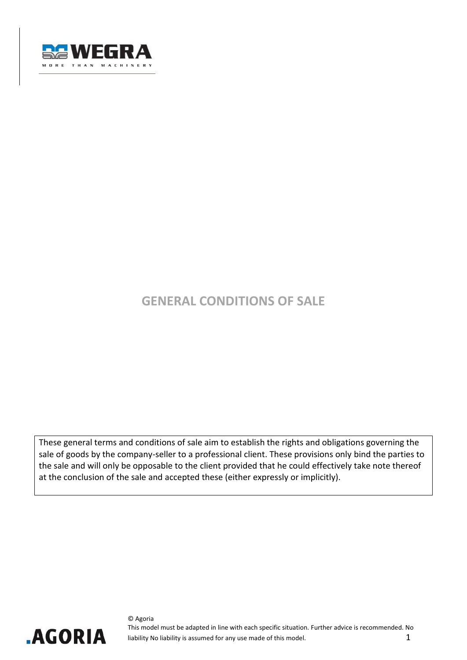

# **GENERAL CONDITIONS OF SALE**

These general terms and conditions of sale aim to establish the rights and obligations governing the sale of goods by the company-seller to a professional client. These provisions only bind the parties to the sale and will only be opposable to the client provided that he could effectively take note thereof at the conclusion of the sale and accepted these (either expressly or implicitly).

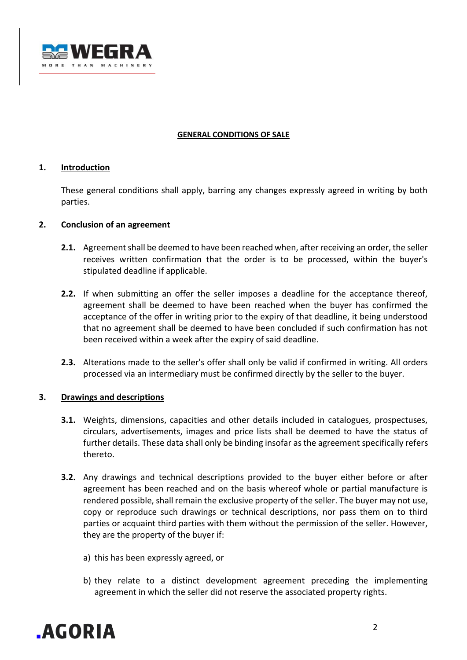

#### **GENERAL CONDITIONS OF SALE**

## **1. Introduction**

These general conditions shall apply, barring any changes expressly agreed in writing by both parties.

#### **2. Conclusion of an agreement**

- **2.1.** Agreement shall be deemed to have been reached when, after receiving an order, the seller receives written confirmation that the order is to be processed, within the buyer's stipulated deadline if applicable.
- **2.2.** If when submitting an offer the seller imposes a deadline for the acceptance thereof, agreement shall be deemed to have been reached when the buyer has confirmed the acceptance of the offer in writing prior to the expiry of that deadline, it being understood that no agreement shall be deemed to have been concluded if such confirmation has not been received within a week after the expiry of said deadline.
- **2.3.** Alterations made to the seller's offer shall only be valid if confirmed in writing. All orders processed via an intermediary must be confirmed directly by the seller to the buyer.

## **3. Drawings and descriptions**

- **3.1.** Weights, dimensions, capacities and other details included in catalogues, prospectuses, circulars, advertisements, images and price lists shall be deemed to have the status of further details. These data shall only be binding insofar as the agreement specifically refers thereto.
- **3.2.** Any drawings and technical descriptions provided to the buyer either before or after agreement has been reached and on the basis whereof whole or partial manufacture is rendered possible, shall remain the exclusive property of the seller. The buyer may not use, copy or reproduce such drawings or technical descriptions, nor pass them on to third parties or acquaint third parties with them without the permission of the seller. However, they are the property of the buyer if:
	- a) this has been expressly agreed, or
	- b) they relate to a distinct development agreement preceding the implementing agreement in which the seller did not reserve the associated property rights.

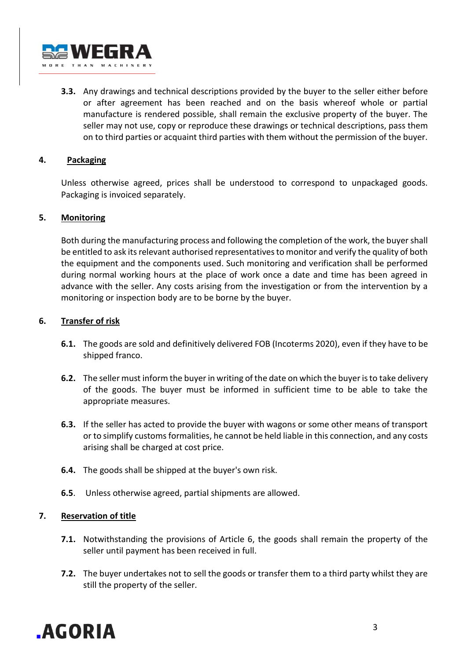

**3.3.** Any drawings and technical descriptions provided by the buyer to the seller either before or after agreement has been reached and on the basis whereof whole or partial manufacture is rendered possible, shall remain the exclusive property of the buyer. The seller may not use, copy or reproduce these drawings or technical descriptions, pass them on to third parties or acquaint third parties with them without the permission of the buyer.

## **4. Packaging**

Unless otherwise agreed, prices shall be understood to correspond to unpackaged goods. Packaging is invoiced separately.

## **5. Monitoring**

Both during the manufacturing process and following the completion of the work, the buyer shall be entitled to ask its relevant authorised representatives to monitor and verify the quality of both the equipment and the components used. Such monitoring and verification shall be performed during normal working hours at the place of work once a date and time has been agreed in advance with the seller. Any costs arising from the investigation or from the intervention by a monitoring or inspection body are to be borne by the buyer.

## **6. Transfer of risk**

- **6.1.** The goods are sold and definitively delivered FOB (Incoterms 2020), even if they have to be shipped franco.
- **6.2.** The seller must inform the buyer in writing of the date on which the buyer is to take delivery of the goods. The buyer must be informed in sufficient time to be able to take the appropriate measures.
- **6.3.** If the seller has acted to provide the buyer with wagons or some other means of transport or to simplify customs formalities, he cannot be held liable in this connection, and any costs arising shall be charged at cost price.
- **6.4.** The goods shall be shipped at the buyer's own risk.
- **6.5**. Unless otherwise agreed, partial shipments are allowed.

## **7. Reservation of title**

- **7.1.** Notwithstanding the provisions of Article 6, the goods shall remain the property of the seller until payment has been received in full.
- **7.2.** The buyer undertakes not to sell the goods or transfer them to a third party whilst they are still the property of the seller.

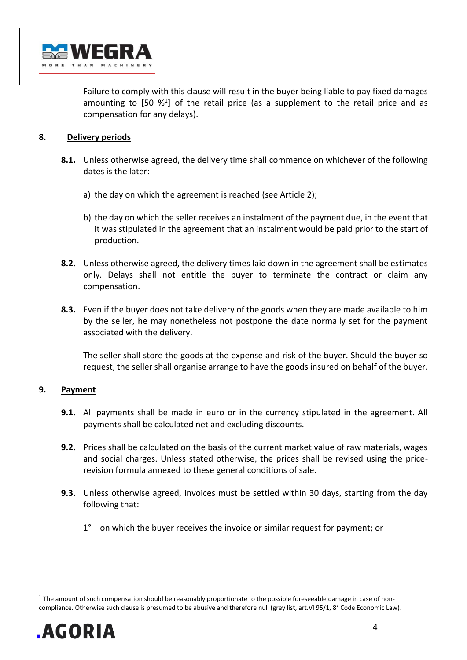

Failure to comply with this clause will result in the buyer being liable to pay fixed damages amounting to  $[50 \, \frac{1}{9}]$  of the retail price (as a supplement to the retail price and as compensation for any delays).

# **8. Delivery periods**

- **8.1.** Unless otherwise agreed, the delivery time shall commence on whichever of the following dates is the later:
	- a) the day on which the agreement is reached (see Article 2);
	- b) the day on which the seller receives an instalment of the payment due, in the event that it was stipulated in the agreement that an instalment would be paid prior to the start of production.
- **8.2.** Unless otherwise agreed, the delivery times laid down in the agreement shall be estimates only. Delays shall not entitle the buyer to terminate the contract or claim any compensation.
- **8.3.** Even if the buyer does not take delivery of the goods when they are made available to him by the seller, he may nonetheless not postpone the date normally set for the payment associated with the delivery.

The seller shall store the goods at the expense and risk of the buyer. Should the buyer so request, the seller shall organise arrange to have the goods insured on behalf of the buyer.

# **9. Payment**

- **9.1.** All payments shall be made in euro or in the currency stipulated in the agreement. All payments shall be calculated net and excluding discounts.
- **9.2.** Prices shall be calculated on the basis of the current market value of raw materials, wages and social charges. Unless stated otherwise, the prices shall be revised using the pricerevision formula annexed to these general conditions of sale.
- **9.3.** Unless otherwise agreed, invoices must be settled within 30 days, starting from the day following that:
	- 1° on which the buyer receives the invoice or similar request for payment; or

 $^1$  The amount of such compensation should be reasonably proportionate to the possible foreseeable damage in case of noncompliance. Otherwise such clause is presumed to be abusive and therefore null (grey list, art.VI 95/1, 8° Code Economic Law).

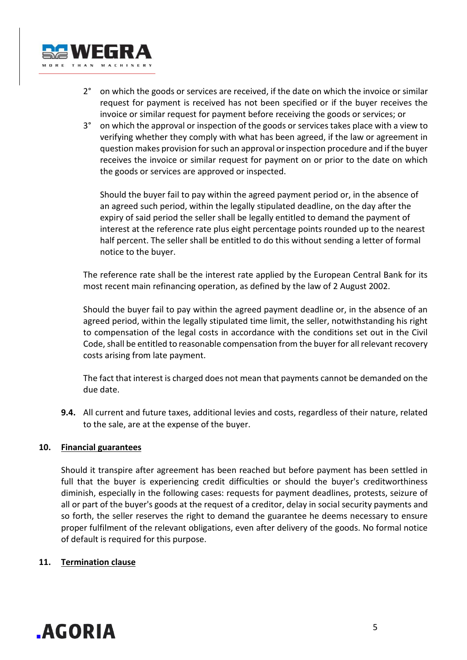

- 2° on which the goods or services are received, if the date on which the invoice or similar request for payment is received has not been specified or if the buyer receives the invoice or similar request for payment before receiving the goods or services; or
- 3° on which the approval or inspection of the goods or services takes place with a view to verifying whether they comply with what has been agreed, if the law or agreement in question makes provision for such an approval or inspection procedure and if the buyer receives the invoice or similar request for payment on or prior to the date on which the goods or services are approved or inspected.

Should the buyer fail to pay within the agreed payment period or, in the absence of an agreed such period, within the legally stipulated deadline, on the day after the expiry of said period the seller shall be legally entitled to demand the payment of interest at the reference rate plus eight percentage points rounded up to the nearest half percent. The seller shall be entitled to do this without sending a letter of formal notice to the buyer.

The reference rate shall be the interest rate applied by the European Central Bank for its most recent main refinancing operation, as defined by the law of 2 August 2002.

Should the buyer fail to pay within the agreed payment deadline or, in the absence of an agreed period, within the legally stipulated time limit, the seller, notwithstanding his right to compensation of the legal costs in accordance with the conditions set out in the Civil Code, shall be entitled to reasonable compensation from the buyer for all relevant recovery costs arising from late payment.

The fact that interest is charged does not mean that payments cannot be demanded on the due date.

**9.4.** All current and future taxes, additional levies and costs, regardless of their nature, related to the sale, are at the expense of the buyer.

# **10. Financial guarantees**

Should it transpire after agreement has been reached but before payment has been settled in full that the buyer is experiencing credit difficulties or should the buyer's creditworthiness diminish, especially in the following cases: requests for payment deadlines, protests, seizure of all or part of the buyer's goods at the request of a creditor, delay in social security payments and so forth, the seller reserves the right to demand the guarantee he deems necessary to ensure proper fulfilment of the relevant obligations, even after delivery of the goods. No formal notice of default is required for this purpose.

## **11. Termination clause**

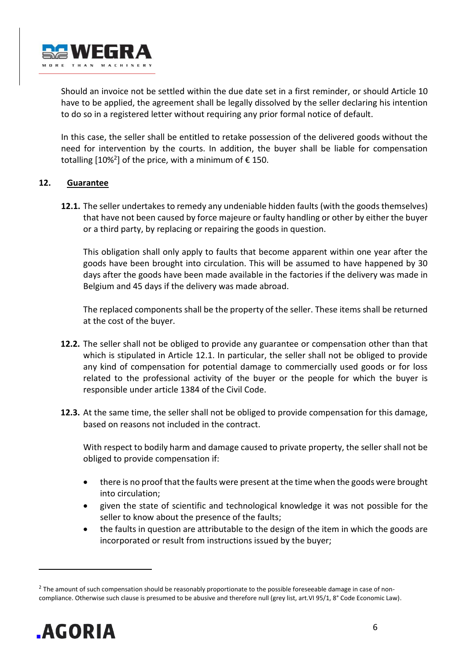

Should an invoice not be settled within the due date set in a first reminder, or should Article 10 have to be applied, the agreement shall be legally dissolved by the seller declaring his intention to do so in a registered letter without requiring any prior formal notice of default.

In this case, the seller shall be entitled to retake possession of the delivered goods without the need for intervention by the courts. In addition, the buyer shall be liable for compensation totalling  $[10\%^2]$  of the price, with a minimum of  $\epsilon$  150.

## **12. Guarantee**

**12.1.** The seller undertakes to remedy any undeniable hidden faults (with the goods themselves) that have not been caused by force majeure or faulty handling or other by either the buyer or a third party, by replacing or repairing the goods in question.

This obligation shall only apply to faults that become apparent within one year after the goods have been brought into circulation. This will be assumed to have happened by 30 days after the goods have been made available in the factories if the delivery was made in Belgium and 45 days if the delivery was made abroad.

The replaced components shall be the property of the seller. These items shall be returned at the cost of the buyer.

- **12.2.** The seller shall not be obliged to provide any guarantee or compensation other than that which is stipulated in Article 12.1. In particular, the seller shall not be obliged to provide any kind of compensation for potential damage to commercially used goods or for loss related to the professional activity of the buyer or the people for which the buyer is responsible under article 1384 of the Civil Code.
- **12.3.** At the same time, the seller shall not be obliged to provide compensation for this damage, based on reasons not included in the contract.

With respect to bodily harm and damage caused to private property, the seller shall not be obliged to provide compensation if:

- there is no proof that the faults were present at the time when the goods were brought into circulation;
- given the state of scientific and technological knowledge it was not possible for the seller to know about the presence of the faults;
- the faults in question are attributable to the design of the item in which the goods are incorporated or result from instructions issued by the buyer;

 $^2$  The amount of such compensation should be reasonably proportionate to the possible foreseeable damage in case of noncompliance. Otherwise such clause is presumed to be abusive and therefore null (grey list, art.VI 95/1, 8° Code Economic Law).

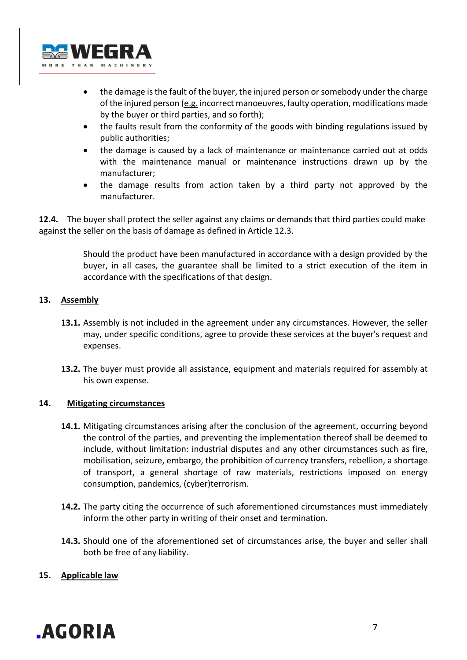

- the damage is the fault of the buyer, the injured person or somebody under the charge of the injured person  $(e.g.$  incorrect manoeuvres, faulty operation, modifications made by the buyer or third parties, and so forth);
- the faults result from the conformity of the goods with binding regulations issued by public authorities;
- the damage is caused by a lack of maintenance or maintenance carried out at odds with the maintenance manual or maintenance instructions drawn up by the manufacturer;
- the damage results from action taken by a third party not approved by the manufacturer.

**12.4.** The buyer shall protect the seller against any claims or demands that third parties could make against the seller on the basis of damage as defined in Article 12.3.

> Should the product have been manufactured in accordance with a design provided by the buyer, in all cases, the guarantee shall be limited to a strict execution of the item in accordance with the specifications of that design.

## **13. Assembly**

- **13.1.** Assembly is not included in the agreement under any circumstances. However, the seller may, under specific conditions, agree to provide these services at the buyer's request and expenses.
- **13.2.** The buyer must provide all assistance, equipment and materials required for assembly at his own expense.

## **14. Mitigating circumstances**

- **14.1.** Mitigating circumstances arising after the conclusion of the agreement, occurring beyond the control of the parties, and preventing the implementation thereof shall be deemed to include, without limitation: industrial disputes and any other circumstances such as fire, mobilisation, seizure, embargo, the prohibition of currency transfers, rebellion, a shortage of transport, a general shortage of raw materials, restrictions imposed on energy consumption, pandemics, (cyber)terrorism.
- **14.2.** The party citing the occurrence of such aforementioned circumstances must immediately inform the other party in writing of their onset and termination.
- **14.3.** Should one of the aforementioned set of circumstances arise, the buyer and seller shall both be free of any liability.

## **15. Applicable law**

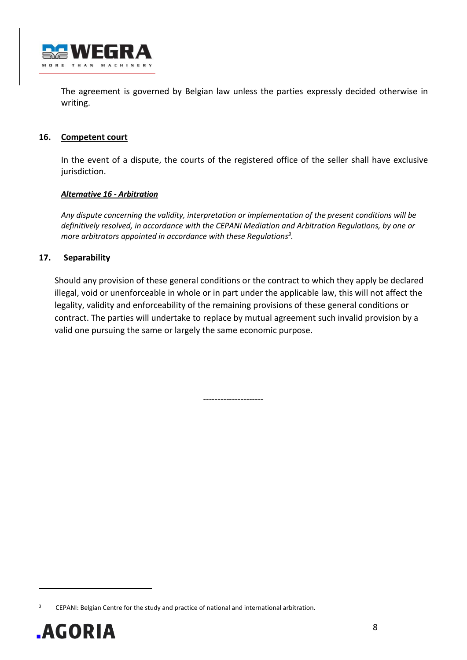

The agreement is governed by Belgian law unless the parties expressly decided otherwise in writing.

## **16. Competent court**

In the event of a dispute, the courts of the registered office of the seller shall have exclusive jurisdiction.

#### *Alternative 16 - Arbitration*

*Any dispute concerning the validity, interpretation or implementation of the present conditions will be definitively resolved, in accordance with the CEPANI Mediation and Arbitration Regulations, by one or more arbitrators appointed in accordance with these Regulations<sup>3</sup> .*

## **17. Separability**

Should any provision of these general conditions or the contract to which they apply be declared illegal, void or unenforceable in whole or in part under the applicable law, this will not affect the legality, validity and enforceability of the remaining provisions of these general conditions or contract. The parties will undertake to replace by mutual agreement such invalid provision by a valid one pursuing the same or largely the same economic purpose.

---------------------

CEPANI: Belgian Centre for the study and practice of national and international arbitration.